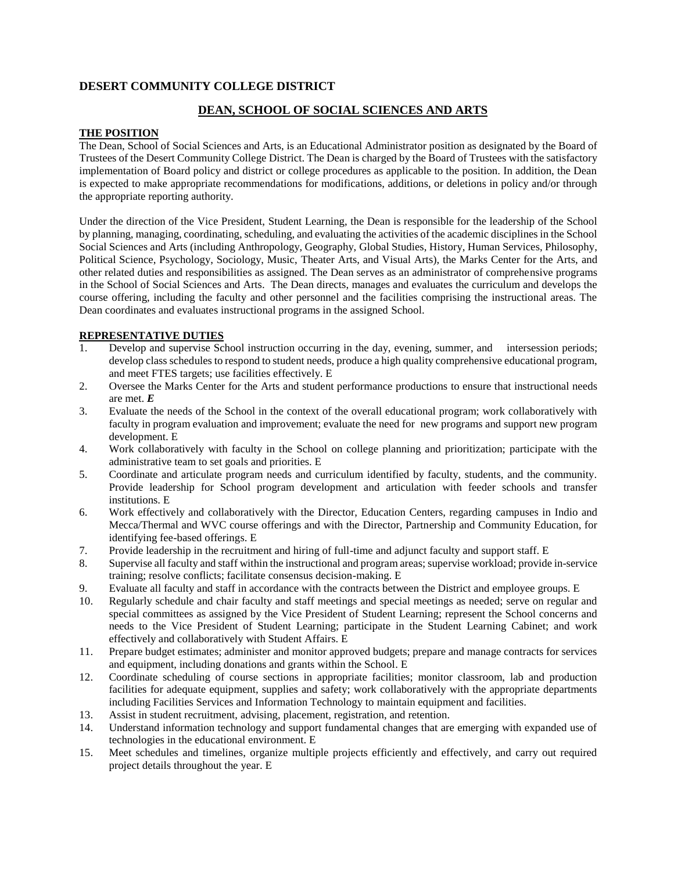# **DESERT COMMUNITY COLLEGE DISTRICT**

# **DEAN, SCHOOL OF SOCIAL SCIENCES AND ARTS**

### **THE POSITION**

The Dean, School of Social Sciences and Arts, is an Educational Administrator position as designated by the Board of Trustees of the Desert Community College District. The Dean is charged by the Board of Trustees with the satisfactory implementation of Board policy and district or college procedures as applicable to the position. In addition, the Dean is expected to make appropriate recommendations for modifications, additions, or deletions in policy and/or through the appropriate reporting authority.

Under the direction of the Vice President, Student Learning, the Dean is responsible for the leadership of the School by planning, managing, coordinating, scheduling, and evaluating the activities of the academic disciplines in the School Social Sciences and Arts (including Anthropology, Geography, Global Studies, History, Human Services, Philosophy, Political Science, Psychology, Sociology, Music, Theater Arts, and Visual Arts), the Marks Center for the Arts, and other related duties and responsibilities as assigned. The Dean serves as an administrator of comprehensive programs in the School of Social Sciences and Arts. The Dean directs, manages and evaluates the curriculum and develops the course offering, including the faculty and other personnel and the facilities comprising the instructional areas. The Dean coordinates and evaluates instructional programs in the assigned School.

# **REPRESENTATIVE DUTIES**

- Develop and supervise School instruction occurring in the day, evening, summer, and intersession periods; develop class schedules to respond to student needs, produce a high quality comprehensive educational program, and meet FTES targets; use facilities effectively. E
- 2. Oversee the Marks Center for the Arts and student performance productions to ensure that instructional needs are met. *E*
- 3. Evaluate the needs of the School in the context of the overall educational program; work collaboratively with faculty in program evaluation and improvement; evaluate the need for new programs and support new program development. E
- 4. Work collaboratively with faculty in the School on college planning and prioritization; participate with the administrative team to set goals and priorities. E
- 5. Coordinate and articulate program needs and curriculum identified by faculty, students, and the community. Provide leadership for School program development and articulation with feeder schools and transfer institutions. E
- 6. Work effectively and collaboratively with the Director, Education Centers, regarding campuses in Indio and Mecca/Thermal and WVC course offerings and with the Director, Partnership and Community Education, for identifying fee-based offerings. E
- 7. Provide leadership in the recruitment and hiring of full-time and adjunct faculty and support staff. E
- 8. Supervise all faculty and staff within the instructional and program areas; supervise workload; provide in-service training; resolve conflicts; facilitate consensus decision-making. E
- 9. Evaluate all faculty and staff in accordance with the contracts between the District and employee groups. E
- 10. Regularly schedule and chair faculty and staff meetings and special meetings as needed; serve on regular and special committees as assigned by the Vice President of Student Learning; represent the School concerns and needs to the Vice President of Student Learning; participate in the Student Learning Cabinet; and work effectively and collaboratively with Student Affairs. E
- 11. Prepare budget estimates; administer and monitor approved budgets; prepare and manage contracts for services and equipment, including donations and grants within the School. E
- 12. Coordinate scheduling of course sections in appropriate facilities; monitor classroom, lab and production facilities for adequate equipment, supplies and safety; work collaboratively with the appropriate departments including Facilities Services and Information Technology to maintain equipment and facilities.
- 13. Assist in student recruitment, advising, placement, registration, and retention.
- 14. Understand information technology and support fundamental changes that are emerging with expanded use of technologies in the educational environment. E
- 15. Meet schedules and timelines, organize multiple projects efficiently and effectively, and carry out required project details throughout the year. E